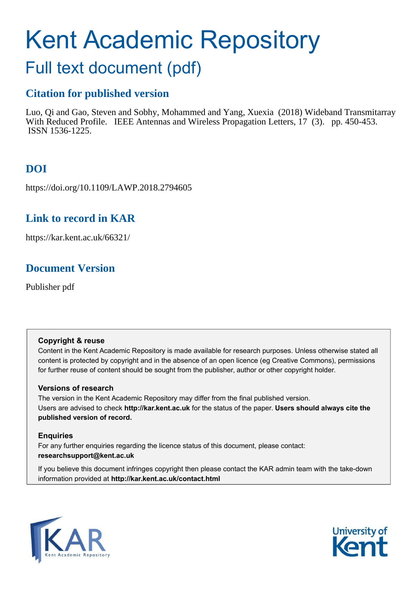# Kent Academic Repository

# Full text document (pdf)

# **Citation for published version**

Luo, Qi and Gao, Steven and Sobhy, Mohammed and Yang, Xuexia (2018) Wideband Transmitarray With Reduced Profile. IEEE Antennas and Wireless Propagation Letters, 17 (3). pp. 450-453. ISSN 1536-1225.

# **DOI**

https://doi.org/10.1109/LAWP.2018.2794605

## **Link to record in KAR**

https://kar.kent.ac.uk/66321/

## **Document Version**

Publisher pdf

## **Copyright & reuse**

Content in the Kent Academic Repository is made available for research purposes. Unless otherwise stated all content is protected by copyright and in the absence of an open licence (eg Creative Commons), permissions for further reuse of content should be sought from the publisher, author or other copyright holder.

## **Versions of research**

The version in the Kent Academic Repository may differ from the final published version. Users are advised to check **http://kar.kent.ac.uk** for the status of the paper. **Users should always cite the published version of record.**

## **Enquiries**

For any further enquiries regarding the licence status of this document, please contact: **researchsupport@kent.ac.uk**

If you believe this document infringes copyright then please contact the KAR admin team with the take-down information provided at **http://kar.kent.ac.uk/contact.html**



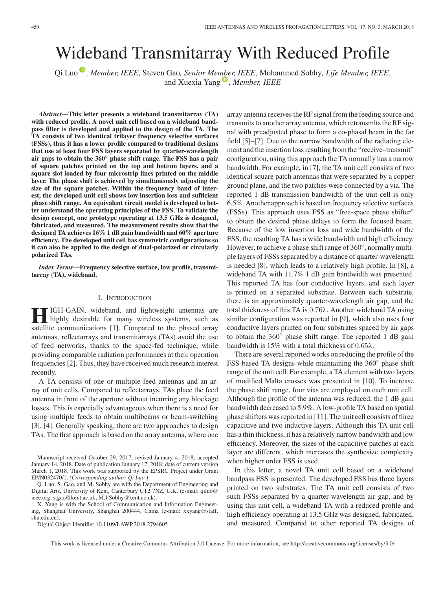# Wideband Transmitarray With Reduced Profile

Qi Luo *[,](https://orcid.org/0000-0001-9000-4133) Member, IEEE*, Steven Gao*, Senior Me[mbe](https://orcid.org/0000-0001-8153-5952)r, IEEE*, Mohammed Sobhy*, Life Member, IEEE*, and Xuexia Yang<sup>(a)</sup>, Member, IEEE

*Abstract***—This letter presents a wideband transmitarray (TA) with reduced profile. A novel unit cell based on a wideband bandpass filter is developed and applied to the design of the TA. The TA consists of two identical trilayer frequency selective surfaces (FSSs), thus it has a lower profile compared to traditional designs that use at least four FSS layers separated by quarter-wavelength air gaps to obtain the 360**◦ **phase shift range. The FSS has a pair of square patches printed on the top and bottom layers, and a square slot loaded by four microstrip lines printed on the middle layer. The phase shift is achieved by simultaneously adjusting the size of the square patches. Within the frequency band of interest, the developed unit cell shows low insertion loss and sufficient phase shift range. An equivalent circuit model is developed to better understand the operating principles of the FSS. To validate the design concept, one prototype operating at 13.5 GHz is designed, fabricated, and measured. The measurement results show that the designed TA achieves 16**% **1 dB gain bandwidth and 60**% **aperture efficiency. The developed unit cell has symmetric configurations so it can also be applied to the design of dual-polarized or circularly polarized TAs.**

*Index Terms***—Frequency selective surface, low profile, transmitarray (TA), wideband.**

#### I. INTRODUCTION

**HI** IGH-GAIN, wideband, and lightweight antennas are highly desirable for many wireless systems, such as satellite communications [1]. Compared to the phased array IGH-GAIN, wideband, and lightweight antennas are highly desirable for many wireless systems, such as antennas, reflectarrays and transmitarrays (TAs) avoid the use of feed networks, thanks to the space-fed technique, while providing comparable radiation performances at their operation frequencies [2]. Thus, they have received much research interest recently.

A TA consists of one or multiple feed antennas and an array of unit cells. Compared to reflectarrays, TAs place the feed antenna in front of the aperture without incurring any blockage losses. This is especially advantageous when there is a need for using multiple feeds to obtain multibeams or beam-switching [3], [4]. Generally speaking, there are two approaches to design TAs. The first approach is based on the array antenna, where one

X. Yang is with the School of Communication and Information Engineering, Shanghai University, Shanghai 200444, China (e-mail: xxyang@staff. shu.edu.cn).

Digital Object Identifier 10.1109/LAWP.2018.2794605

array antenna receives the RF signal from the feeding source and transmits to another array antenna, which retransmits the RF signal with preadjusted phase to form a co-phasal beam in the far field [5]–[7]. Due to the narrow bandwidth of the radiating element and the insertion loss resulting from the "receive–transmit" configuration, using this approach the TA normally has a narrow bandwidth. For example, in [7], the TA unit cell consists of two identical square patch antennas that were separated by a copper ground plane, and the two patches were connected by a via. The reported 1 dB transmission bandwidth of the unit cell is only 6.5%. Another approach is based on frequency selective surfaces (FSSs). This approach uses FSS as "free-space phase shifter" to obtain the desired phase delays to form the focused beam. Because of the low insertion loss and wide bandwidth of the FSS, the resulting TA has a wide bandwidth and high efficiency. However, to achieve a phase shift range of 360°, normally multiple layers of FSSs separated by a distance of quarter-wavelength is needed [8], which leads to a relatively high profile. In [8], a wideband TA with 11.7% 1 dB gain bandwidth was presented. This reported TA has four conductive layers, and each layer is printed on a separated substrate. Between each substrate, there is an approximately quarter-wavelength air gap, and the total thickness of this TA is 0.76λ. Another wideband TA using similar configuration was reported in [9], which also uses four conductive layers printed on four substrates spaced by air gaps to obtain the  $360^\circ$  phase shift range. The reported 1 dB gain bandwidth is 15% with a total thickness of  $0.65\lambda$ .

There are several reported works on reducing the profile of the FSS-based TA designs while maintaining the  $360^{\circ}$  phase shift range of the unit cell. For example, a TA element with two layers of modified Malta crosses was presented in [10]. To increase the phase shift range, four vias are employed on each unit cell. Although the profile of the antenna was reduced, the 1 dB gain bandwidth decreased to 5.9%. A low-profile TA based on spatial phase shifters was reported in [11]. The unit cell consists of three capacitive and two inductive layers. Although this TA unit cell has a thin thickness, it has a relatively narrow bandwidth and low efficiency. Moreover, the sizes of the capacitive patches at each layer are different, which increases the synthesize complexity when higher order FSS is used.

In this letter, a novel TA unit cell based on a wideband bandpass FSS is presented. The developed FSS has three layers printed on two substrates. The TA unit cell consists of two such FSSs separated by a quarter-wavelength air gap, and by using this unit cell, a wideband TA with a reduced profile and high efficiency operating at 13.5 GHz was designed, fabricated, and measured. Compared to other reported TA designs of

This work is licensed under a Creative Commons Attribution 3.0 License. For more information, see http://creativecommons.org/licenses/by/3.0/

Manuscript received October 29, 2017; revised January 4, 2018; accepted January 14, 2018. Date of publication January 17, 2018; date of current version March 1, 2018. This work was supported by the EPSRC Project under Grant EP/N032470/1. *(Corresponding author: Qi Luo.)*

Q. Luo, S. Gao, and M. Sobhy are with the Department of Engineering and Digital Arts, University of Kent, Canterbury CT2 7NZ, U.K. (e-mail: qiluo@ ieee.org; s.gao@kent.ac.uk; M.I.Sobhy@kent.ac.uk).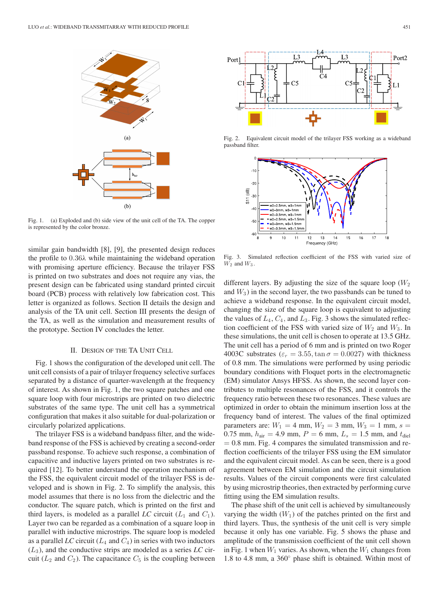

Fig. 1. (a) Exploded and (b) side view of the unit cell of the TA. The copper is represented by the color bronze.

similar gain bandwidth [8], [9], the presented design reduces the profile to 0.36λ while maintaining the wideband operation with promising aperture efficiency. Because the trilayer FSS is printed on two substrates and does not require any vias, the present design can be fabricated using standard printed circuit board (PCB) process with relatively low fabrication cost. This letter is organized as follows. Section II details the design and analysis of the TA unit cell. Section III presents the design of the TA, as well as the simulation and measurement results of the prototype. Section IV concludes the letter.

#### II. DESIGN OF THE TA UNIT CELL

Fig. 1 shows the configuration of the developed unit cell. The unit cell consists of a pair of trilayer frequency selective surfaces separated by a distance of quarter-wavelength at the frequency of interest. As shown in Fig. 1, the two square patches and one square loop with four microstrips are printed on two dielectric substrates of the same type. The unit cell has a symmetrical configuration that makes it also suitable for dual-polarization or circularly polarized applications.

The trilayer FSS is a wideband bandpass filter, and the wideband response of the FSS is achieved by creating a second-order passband response. To achieve such response, a combination of capacitive and inductive layers printed on two substrates is required [12]. To better understand the operation mechanism of the FSS, the equivalent circuit model of the trilayer FSS is developed and is shown in Fig. 2. To simplify the analysis, this model assumes that there is no loss from the dielectric and the conductor. The square patch, which is printed on the first and third layers, is modeled as a parallel  $LC$  circuit  $(L_1 \text{ and } C_1)$ . Layer two can be regarded as a combination of a square loop in parallel with inductive microstrips. The square loop is modeled as a parallel *LC* circuit ( $L_4$  and  $C_4$ ) in series with two inductors  $(L_3)$ , and the conductive strips are modeled as a series *LC* circuit ( $L_2$  and  $C_2$ ). The capacitance  $C_5$  is the coupling between



Fig. 2. Equivalent circuit model of the trilayer FSS working as a wideband passband filter.



Fig. 3. Simulated reflection coefficient of the FSS with varied size of  $W_2$  and  $W_3$ .

different layers. By adjusting the size of the square loop  $(W_2)$ and  $W_3$ ) in the second layer, the two passbands can be tuned to achieve a wideband response. In the equivalent circuit model, changing the size of the square loop is equivalent to adjusting the values of  $L_4$ ,  $C_4$ , and  $L_3$ . Fig. 3 shows the simulated reflection coefficient of the FSS with varied size of  $W_2$  and  $W_3$ . In these simulations, the unit cell is chosen to operate at 13.5 GHz. The unit cell has a period of 6 mm and is printed on two Roger 4003C substrates ( $\varepsilon_r = 3.55$ , tan  $\sigma = 0.0027$ ) with thickness of 0.8 mm. The simulations were performed by using periodic boundary conditions with Floquet ports in the electromagnetic (EM) simulator Ansys HFSS. As shown, the second layer contributes to multiple resonances of the FSS, and it controls the frequency ratio between these two resonances. These values are optimized in order to obtain the minimum insertion loss at the frequency band of interest. The values of the final optimized parameters are:  $W_1 = 4$  mm,  $W_2 = 3$  mm,  $W_3 = 1$  mm,  $s =$ 0.75 mm,  $h_{\text{air}} = 4.9$  mm,  $P = 6$  mm,  $L_s = 1.5$  mm, and  $t_{\text{diel}}$  $= 0.8$  mm. Fig. 4 compares the simulated transmission and reflection coefficients of the trilayer FSS using the EM simulator and the equivalent circuit model. As can be seen, there is a good agreement between EM simulation and the circuit simulation results. Values of the circuit components were first calculated by using microstrip theories, then extracted by performing curve fitting using the EM simulation results.

The phase shift of the unit cell is achieved by simultaneously varying the width  $(W_1)$  of the patches printed on the first and third layers. Thus, the synthesis of the unit cell is very simple because it only has one variable. Fig. 5 shows the phase and amplitude of the transmission coefficient of the unit cell shown in Fig. 1 when  $W_1$  varies. As shown, when the  $W_1$  changes from 1.8 to 4.8 mm, a 360° phase shift is obtained. Within most of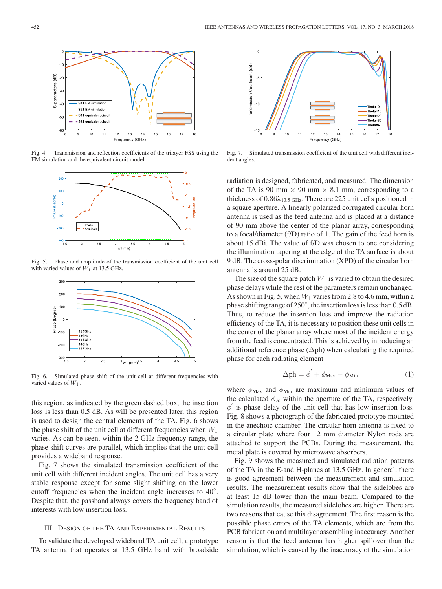

Fig. 4. Transmission and reflection coefficients of the trilayer FSS using the EM simulation and the equivalent circuit model.



Fig. 5. Phase and amplitude of the transmission coefficient of the unit cell with varied values of  $W_1$  at 13.5 GHz.



Fig. 6. Simulated phase shift of the unit cell at different frequencies with varied values of  $W_1$ .

this region, as indicated by the green dashed box, the insertion loss is less than 0.5 dB. As will be presented later, this region is used to design the central elements of the TA. Fig. 6 shows the phase shift of the unit cell at different frequencies when  $W_1$ varies. As can be seen, within the 2 GHz frequency range, the phase shift curves are parallel, which implies that the unit cell provides a wideband response.

Fig. 7 shows the simulated transmission coefficient of the unit cell with different incident angles. The unit cell has a very stable response except for some slight shifting on the lower cutoff frequencies when the incident angle increases to 40°. Despite that, the passband always covers the frequency band of interests with low insertion loss.

## III. DESIGN OF THE TA AND EXPERIMENTAL RESULTS

To validate the developed wideband TA unit cell, a prototype TA antenna that operates at 13.5 GHz band with broadside



Fig. 7. Simulated transmission coefficient of the unit cell with different incident angles.

radiation is designed, fabricated, and measured. The dimension of the TA is 90 mm  $\times$  90 mm  $\times$  8.1 mm, corresponding to a thickness of  $0.36\lambda_{13.5\,\text{GHz}}$ . There are 225 unit cells positioned in a square aperture. A linearly polarized corrugated circular horn antenna is used as the feed antenna and is placed at a distance of 90 mm above the center of the planar array, corresponding to a focal/diameter (f/D) ratio of 1. The gain of the feed horn is about 15 dBi. The value of f/D was chosen to one considering the illumination tapering at the edge of the TA surface is about 9 dB. The cross-polar discrimination (XPD) of the circular horn antenna is around 25 dB.

The size of the square patch  $W_1$  is varied to obtain the desired phase delays while the rest of the parameters remain unchanged. As shown in Fig. 5, when  $W_1$  varies from 2.8 to 4.6 mm, within a phase shifting range of  $250^\circ$ , the insertion loss is less than 0.5 dB. Thus, to reduce the insertion loss and improve the radiation efficiency of the TA, it is necessary to position these unit cells in the center of the planar array where most of the incident energy from the feed is concentrated. This is achieved by introducing an additional reference phase (∆ph) when calculating the required phase for each radiating element

$$
\Delta \text{ph} = \phi' + \phi_{\text{Max}} - \phi_{\text{Min}} \tag{1}
$$

where  $\phi_{\text{Max}}$  and  $\phi_{\text{Min}}$  are maximum and minimum values of the calculated  $\phi_R$  within the aperture of the TA, respectively.  $\phi'$  is phase delay of the unit cell that has low insertion loss. Fig. 8 shows a photograph of the fabricated prototype mounted in the anechoic chamber. The circular horn antenna is fixed to a circular plate where four 12 mm diameter Nylon rods are attached to support the PCBs. During the measurement, the metal plate is covered by microwave absorbers.

Fig. 9 shows the measured and simulated radiation patterns of the TA in the E-and H-planes at 13.5 GHz. In general, there is good agreement between the measurement and simulation results. The measurement results show that the sidelobes are at least 15 dB lower than the main beam. Compared to the simulation results, the measured sidelobes are higher. There are two reasons that cause this disagreement. The first reason is the possible phase errors of the TA elements, which are from the PCB fabrication and multilayer assembling inaccuracy. Another reason is that the feed antenna has higher spillover than the simulation, which is caused by the inaccuracy of the simulation